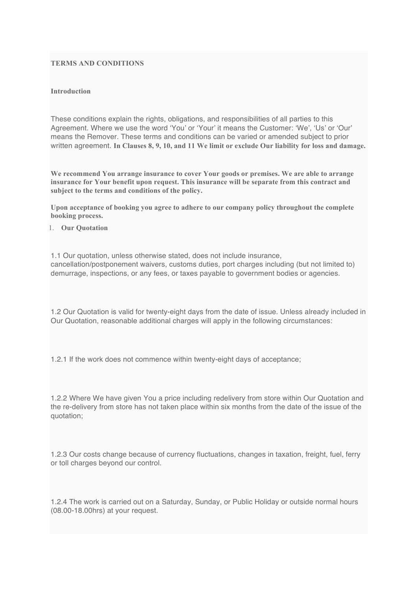#### **TERMS AND CONDITIONS**

#### **Introduction**

These conditions explain the rights, obligations, and responsibilities of all parties to this Agreement. Where we use the word 'You' or 'Your' it means the Customer: 'We', 'Us' or 'Our' means the Remover. These terms and conditions can be varied or amended subject to prior written agreement. **In Clauses 8, 9, 10, and 11 We limit or exclude Our liability for loss and damage.**

**We recommend You arrange insurance to cover Your goods or premises. We are able to arrange insurance for Your benefit upon request. This insurance will be separate from this contract and subject to the terms and conditions of the policy.**

**Upon acceptance of booking you agree to adhere to our company policy throughout the complete booking process.**

1. **Our Quotation**

1.1 Our quotation, unless otherwise stated, does not include insurance, cancellation/postponement waivers, customs duties, port charges including (but not limited to) demurrage, inspections, or any fees, or taxes payable to government bodies or agencies.

1.2 Our Quotation is valid for twenty-eight days from the date of issue. Unless already included in Our Quotation, reasonable additional charges will apply in the following circumstances:

1.2.1 If the work does not commence within twenty-eight days of acceptance;

1.2.2 Where We have given You a price including redelivery from store within Our Quotation and the re-delivery from store has not taken place within six months from the date of the issue of the quotation;

1.2.3 Our costs change because of currency fluctuations, changes in taxation, freight, fuel, ferry or toll charges beyond our control.

1.2.4 The work is carried out on a Saturday, Sunday, or Public Holiday or outside normal hours (08.00-18.00hrs) at your request.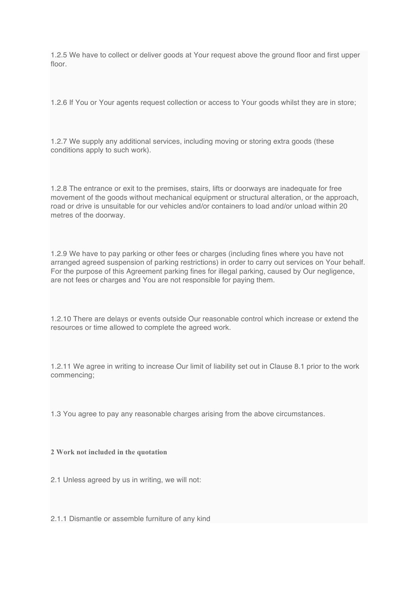1.2.5 We have to collect or deliver goods at Your request above the ground floor and first upper floor

1.2.6 If You or Your agents request collection or access to Your goods whilst they are in store;

1.2.7 We supply any additional services, including moving or storing extra goods (these conditions apply to such work).

1.2.8 The entrance or exit to the premises, stairs, lifts or doorways are inadequate for free movement of the goods without mechanical equipment or structural alteration, or the approach, road or drive is unsuitable for our vehicles and/or containers to load and/or unload within 20 metres of the doorway.

1.2.9 We have to pay parking or other fees or charges (including fines where you have not arranged agreed suspension of parking restrictions) in order to carry out services on Your behalf. For the purpose of this Agreement parking fines for illegal parking, caused by Our negligence, are not fees or charges and You are not responsible for paying them.

1.2.10 There are delays or events outside Our reasonable control which increase or extend the resources or time allowed to complete the agreed work.

1.2.11 We agree in writing to increase Our limit of liability set out in Clause 8.1 prior to the work commencing;

1.3 You agree to pay any reasonable charges arising from the above circumstances.

#### **2 Work not included in the quotation**

2.1 Unless agreed by us in writing, we will not:

2.1.1 Dismantle or assemble furniture of any kind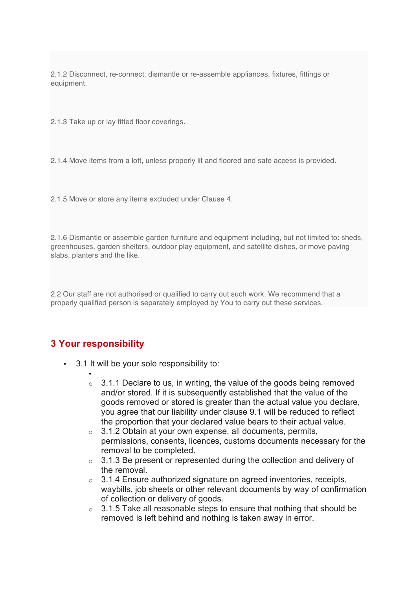2.1.2 Disconnect, re-connect, dismantle or re-assemble appliances, fixtures, fittings or equipment.

2.1.3 Take up or lay fitted floor coverings.

2.1.4 Move items from a loft, unless properly lit and floored and safe access is provided.

2.1.5 Move or store any items excluded under Clause 4.

2.1.6 Dismantle or assemble garden furniture and equipment including, but not limited to: sheds, greenhouses, garden shelters, outdoor play equipment, and satellite dishes, or move paving slabs, planters and the like.

2.2 Our staff are not authorised or qualified to carry out such work. We recommend that a properly qualified person is separately employed by You to carry out these services.

#### **3 Your responsibility**

- 3.1 It will be your sole responsibility to:
	- $\circ$  3.1.1 Declare to us, in writing, the value of the goods being removed and/or stored. If it is subsequently established that the value of the goods removed or stored is greater than the actual value you declare, you agree that our liability under clause 9.1 will be reduced to reflect the proportion that your declared value bears to their actual value.
	- $\circ$  3.1.2 Obtain at your own expense, all documents, permits, permissions, consents, licences, customs documents necessary for the removal to be completed.
	- $\circ$  3.1.3 Be present or represented during the collection and delivery of the removal.
	- $\circ$  3.1.4 Ensure authorized signature on agreed inventories, receipts, waybills, job sheets or other relevant documents by way of confirmation of collection or delivery of goods.
	- $\circ$  3.1.5 Take all reasonable steps to ensure that nothing that should be removed is left behind and nothing is taken away in error.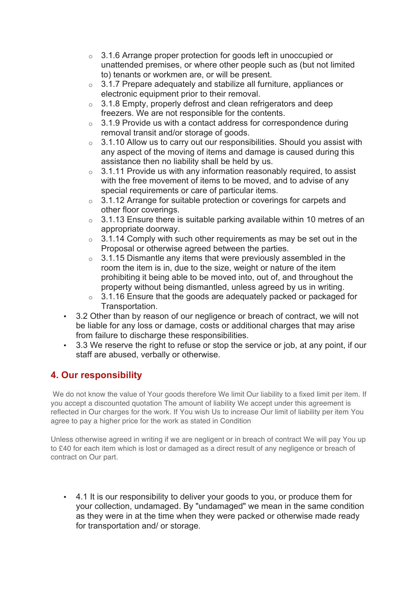- o 3.1.6 Arrange proper protection for goods left in unoccupied or unattended premises, or where other people such as (but not limited to) tenants or workmen are, or will be present.
- o 3.1.7 Prepare adequately and stabilize all furniture, appliances or electronic equipment prior to their removal.
- $\circ$  3.1.8 Empty, properly defrost and clean refrigerators and deep freezers. We are not responsible for the contents.
- $\circ$  3.1.9 Provide us with a contact address for correspondence during removal transit and/or storage of goods.
- $\circ$  3.1.10 Allow us to carry out our responsibilities. Should you assist with any aspect of the moving of items and damage is caused during this assistance then no liability shall be held by us.
- $\circ$  3.1.11 Provide us with any information reasonably required, to assist with the free movement of items to be moved, and to advise of any special requirements or care of particular items.
- $\circ$  3.1.12 Arrange for suitable protection or coverings for carpets and other floor coverings.
- $\circ$  3.1.13 Ensure there is suitable parking available within 10 metres of an appropriate doorway.
- $\circ$  3.1.14 Comply with such other requirements as may be set out in the Proposal or otherwise agreed between the parties.
- $\circ$  3.1.15 Dismantle any items that were previously assembled in the room the item is in, due to the size, weight or nature of the item prohibiting it being able to be moved into, out of, and throughout the property without being dismantled, unless agreed by us in writing.
- $\circ$  3.1.16 Ensure that the goods are adequately packed or packaged for Transportation.
- 3.2 Other than by reason of our negligence or breach of contract, we will not be liable for any loss or damage, costs or additional charges that may arise from failure to discharge these responsibilities.
- 3.3 We reserve the right to refuse or stop the service or job, at any point, if our staff are abused, verbally or otherwise.

# **4. Our responsibility**

We do not know the value of Your goods therefore We limit Our liability to a fixed limit per item. If you accept a discounted quotation The amount of liability We accept under this agreement is reflected in Our charges for the work. If You wish Us to increase Our limit of liability per item You agree to pay a higher price for the work as stated in Condition

Unless otherwise agreed in writing if we are negligent or in breach of contract We will pay You up to £40 for each item which is lost or damaged as a direct result of any negligence or breach of contract on Our part.

• 4.1 It is our responsibility to deliver your goods to you, or produce them for your collection, undamaged. By "undamaged" we mean in the same condition as they were in at the time when they were packed or otherwise made ready for transportation and/ or storage.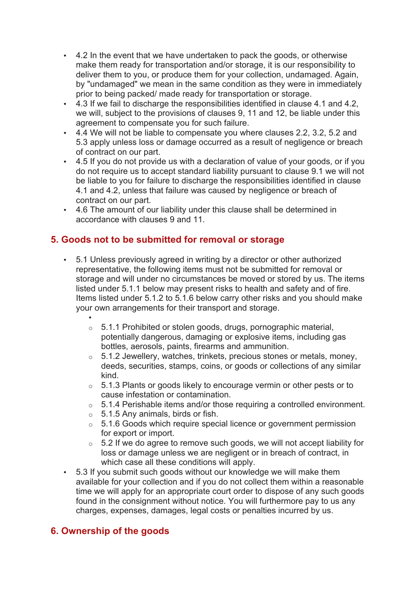- 4.2 In the event that we have undertaken to pack the goods, or otherwise make them ready for transportation and/or storage, it is our responsibility to deliver them to you, or produce them for your collection, undamaged. Again, by "undamaged" we mean in the same condition as they were in immediately prior to being packed/ made ready for transportation or storage.
- 4.3 If we fail to discharge the responsibilities identified in clause 4.1 and 4.2, we will, subject to the provisions of clauses 9, 11 and 12, be liable under this agreement to compensate you for such failure.
- 4.4 We will not be liable to compensate you where clauses 2.2, 3.2, 5.2 and 5.3 apply unless loss or damage occurred as a result of negligence or breach of contract on our part.
- 4.5 If you do not provide us with a declaration of value of your goods, or if you do not require us to accept standard liability pursuant to clause 9.1 we will not be liable to you for failure to discharge the responsibilities identified in clause 4.1 and 4.2, unless that failure was caused by negligence or breach of contract on our part.
- 4.6 The amount of our liability under this clause shall be determined in accordance with clauses 9 and 11.

## **5. Goods not to be submitted for removal or storage**

- 5.1 Unless previously agreed in writing by a director or other authorized representative, the following items must not be submitted for removal or storage and will under no circumstances be moved or stored by us. The items listed under 5.1.1 below may present risks to health and safety and of fire. Items listed under 5.1.2 to 5.1.6 below carry other risks and you should make your own arrangements for their transport and storage.
	- o 5.1.1 Prohibited or stolen goods, drugs, pornographic material, potentially dangerous, damaging or explosive items, including gas bottles, aerosols, paints, firearms and ammunition.
	- $\circ$  5.1.2 Jewellery, watches, trinkets, precious stones or metals, money, deeds, securities, stamps, coins, or goods or collections of any similar kind.
	- $\circ$  5.1.3 Plants or goods likely to encourage vermin or other pests or to cause infestation or contamination.
	- $\circ$  5.1.4 Perishable items and/or those requiring a controlled environment.
	- $\circ$  5.1.5 Any animals, birds or fish.
	- $\circ$  5.1.6 Goods which require special licence or government permission for export or import.
	- $\circ$  5.2 If we do agree to remove such goods, we will not accept liability for loss or damage unless we are negligent or in breach of contract, in which case all these conditions will apply.
- 5.3 If you submit such goods without our knowledge we will make them available for your collection and if you do not collect them within a reasonable time we will apply for an appropriate court order to dispose of any such goods found in the consignment without notice. You will furthermore pay to us any charges, expenses, damages, legal costs or penalties incurred by us.

# **6. Ownership of the goods**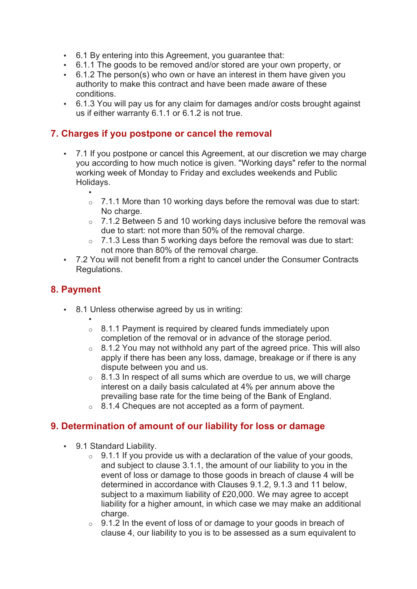- 6.1 By entering into this Agreement, you guarantee that:
- 6.1.1 The goods to be removed and/or stored are your own property, or
- 6.1.2 The person(s) who own or have an interest in them have given you authority to make this contract and have been made aware of these conditions.
- 6.1.3 You will pay us for any claim for damages and/or costs brought against us if either warranty 6.1.1 or 6.1.2 is not true.

#### **7. Charges if you postpone or cancel the removal**

- 7.1 If you postpone or cancel this Agreement, at our discretion we may charge you according to how much notice is given. "Working days" refer to the normal working week of Monday to Friday and excludes weekends and Public Holidays.
	- o 7.1.1 More than 10 working days before the removal was due to start: No charge.
	- $\circ$  7.1.2 Between 5 and 10 working days inclusive before the removal was due to start: not more than 50% of the removal charge.
	- $\circ$  7.1.3 Less than 5 working days before the removal was due to start: not more than 80% of the removal charge.
- 7.2 You will not benefit from a right to cancel under the Consumer Contracts Regulations.

#### **8. Payment**

- 8.1 Unless otherwise agreed by us in writing:
	- •
	- $\circ$  8.1.1 Payment is required by cleared funds immediately upon completion of the removal or in advance of the storage period.
	- $\circ$  8.1.2 You may not withhold any part of the agreed price. This will also apply if there has been any loss, damage, breakage or if there is any dispute between you and us.
	- $\circ$  8.1.3 In respect of all sums which are overdue to us, we will charge interest on a daily basis calculated at 4% per annum above the prevailing base rate for the time being of the Bank of England.
	- o 8.1.4 Cheques are not accepted as a form of payment.

#### **9. Determination of amount of our liability for loss or damage**

- 9.1 Standard Liability.
	- $\circ$  9.1.1 If you provide us with a declaration of the value of your goods, and subject to clause 3.1.1, the amount of our liability to you in the event of loss or damage to those goods in breach of clause 4 will be determined in accordance with Clauses 9.1.2, 9.1.3 and 11 below, subject to a maximum liability of £20,000. We may agree to accept liability for a higher amount, in which case we may make an additional charge.
	- $\circ$  9.1.2 In the event of loss of or damage to your goods in breach of clause 4, our liability to you is to be assessed as a sum equivalent to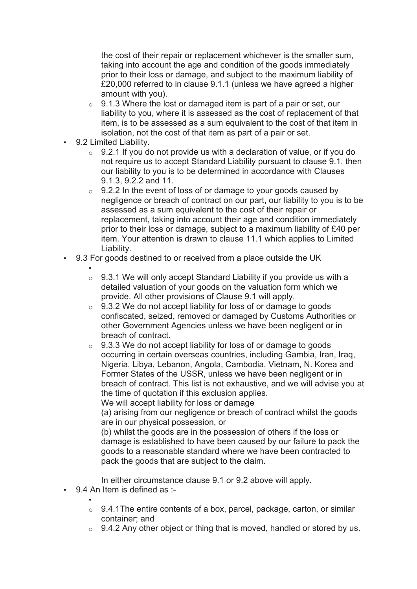the cost of their repair or replacement whichever is the smaller sum, taking into account the age and condition of the goods immediately prior to their loss or damage, and subject to the maximum liability of £20,000 referred to in clause 9.1.1 (unless we have agreed a higher amount with you).

- $\circ$  9.1.3 Where the lost or damaged item is part of a pair or set, our liability to you, where it is assessed as the cost of replacement of that item, is to be assessed as a sum equivalent to the cost of that item in isolation, not the cost of that item as part of a pair or set.
- 9.2 Limited Liability.
	- $\circ$  9.2.1 If you do not provide us with a declaration of value, or if you do not require us to accept Standard Liability pursuant to clause 9.1, then our liability to you is to be determined in accordance with Clauses 9.1.3, 9.2.2 and 11.
	- $\circ$  9.2.2 In the event of loss of or damage to your goods caused by negligence or breach of contract on our part, our liability to you is to be assessed as a sum equivalent to the cost of their repair or replacement, taking into account their age and condition immediately prior to their loss or damage, subject to a maximum liability of £40 per item. Your attention is drawn to clause 11.1 which applies to Limited Liability.
- 9.3 For goods destined to or received from a place outside the UK
	- $\circ$  9.3.1 We will only accept Standard Liability if you provide us with a detailed valuation of your goods on the valuation form which we provide. All other provisions of Clause 9.1 will apply.
	- $\circ$  9.3.2 We do not accept liability for loss of or damage to goods confiscated, seized, removed or damaged by Customs Authorities or other Government Agencies unless we have been negligent or in breach of contract.
	- $\circ$  9.3.3 We do not accept liability for loss of or damage to goods occurring in certain overseas countries, including Gambia, Iran, Iraq, Nigeria, Libya, Lebanon, Angola, Cambodia, Vietnam, N. Korea and Former States of the USSR, unless we have been negligent or in breach of contract. This list is not exhaustive, and we will advise you at the time of quotation if this exclusion applies.

We will accept liability for loss or damage

(a) arising from our negligence or breach of contract whilst the goods are in our physical possession, or

(b) whilst the goods are in the possession of others if the loss or damage is established to have been caused by our failure to pack the goods to a reasonable standard where we have been contracted to pack the goods that are subject to the claim.

In either circumstance clause 9.1 or 9.2 above will apply.

- 9.4 An Item is defined as :-
	- $\circ$  9.4.1 The entire contents of a box, parcel, package, carton, or similar container; and
	- $\circ$  9.4.2 Any other object or thing that is moved, handled or stored by us.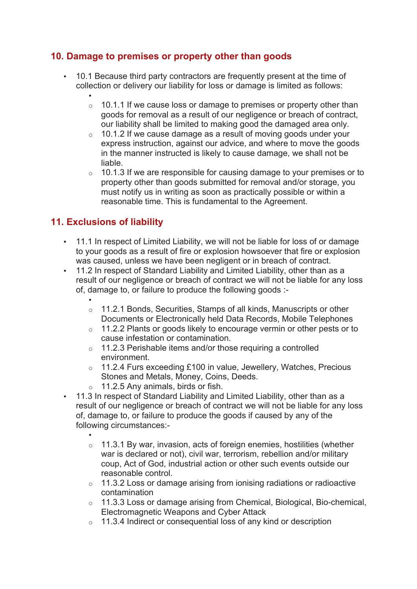## **10. Damage to premises or property other than goods**

- 10.1 Because third party contractors are frequently present at the time of collection or delivery our liability for loss or damage is limited as follows:
	- $\circ$  10.1.1 If we cause loss or damage to premises or property other than goods for removal as a result of our negligence or breach of contract, our liability shall be limited to making good the damaged area only.
	- $\circ$  10.1.2 If we cause damage as a result of moving goods under your express instruction, against our advice, and where to move the goods in the manner instructed is likely to cause damage, we shall not be liable.
	- $\circ$  10.1.3 If we are responsible for causing damage to your premises or to property other than goods submitted for removal and/or storage, you must notify us in writing as soon as practically possible or within a reasonable time. This is fundamental to the Agreement.

# **11. Exclusions of liability**

- 11.1 In respect of Limited Liability, we will not be liable for loss of or damage to your goods as a result of fire or explosion howsoever that fire or explosion was caused, unless we have been negligent or in breach of contract.
- 11.2 In respect of Standard Liability and Limited Liability, other than as a result of our negligence or breach of contract we will not be liable for any loss of, damage to, or failure to produce the following goods :-
	- o 11.2.1 Bonds, Securities, Stamps of all kinds, Manuscripts or other Documents or Electronically held Data Records, Mobile Telephones
	- o 11.2.2 Plants or goods likely to encourage vermin or other pests or to cause infestation or contamination.
	- o 11.2.3 Perishable items and/or those requiring a controlled environment.
	- o 11.2.4 Furs exceeding £100 in value, Jewellery, Watches, Precious Stones and Metals, Money, Coins, Deeds.
	- $\circ$  11.2.5 Any animals, birds or fish.
- 11.3 In respect of Standard Liability and Limited Liability, other than as a result of our negligence or breach of contract we will not be liable for any loss of, damage to, or failure to produce the goods if caused by any of the following circumstances:-
	- o 11.3.1 By war, invasion, acts of foreign enemies, hostilities (whether war is declared or not), civil war, terrorism, rebellion and/or military coup, Act of God, industrial action or other such events outside our reasonable control.
	- o 11.3.2 Loss or damage arising from ionising radiations or radioactive contamination
	- o 11.3.3 Loss or damage arising from Chemical, Biological, Bio-chemical, Electromagnetic Weapons and Cyber Attack
	- o 11.3.4 Indirect or consequential loss of any kind or description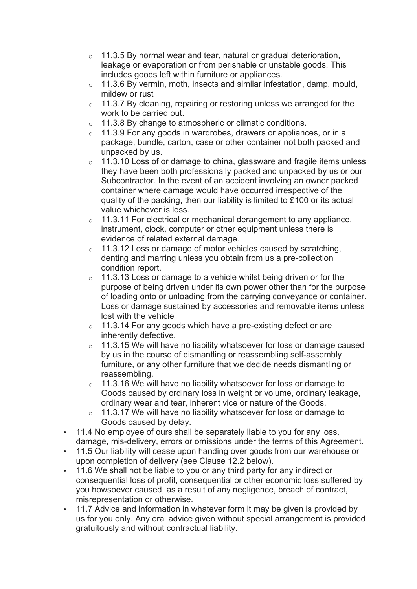- $\circ$  11.3.5 By normal wear and tear, natural or gradual deterioration, leakage or evaporation or from perishable or unstable goods. This includes goods left within furniture or appliances.
- o 11.3.6 By vermin, moth, insects and similar infestation, damp, mould, mildew or rust
- $\circ$  11.3.7 By cleaning, repairing or restoring unless we arranged for the work to be carried out.
- $\circ$  11.3.8 By change to atmospheric or climatic conditions.
- $\circ$  11.3.9 For any goods in wardrobes, drawers or appliances, or in a package, bundle, carton, case or other container not both packed and unpacked by us.
- $\circ$  11.3.10 Loss of or damage to china, glassware and fragile items unless they have been both professionally packed and unpacked by us or our Subcontractor. In the event of an accident involving an owner packed container where damage would have occurred irrespective of the quality of the packing, then our liability is limited to £100 or its actual value whichever is less.
- $\circ$  11.3.11 For electrical or mechanical derangement to any appliance, instrument, clock, computer or other equipment unless there is evidence of related external damage.
- $\circ$  11.3.12 Loss or damage of motor vehicles caused by scratching, denting and marring unless you obtain from us a pre-collection condition report.
- $\circ$  11.3.13 Loss or damage to a vehicle whilst being driven or for the purpose of being driven under its own power other than for the purpose of loading onto or unloading from the carrying conveyance or container. Loss or damage sustained by accessories and removable items unless lost with the vehicle
- $\circ$  11.3.14 For any goods which have a pre-existing defect or are inherently defective.
- $\circ$  11.3.15 We will have no liability whatsoever for loss or damage caused by us in the course of dismantling or reassembling self-assembly furniture, or any other furniture that we decide needs dismantling or reassembling.
- $\circ$  11.3.16 We will have no liability whatsoever for loss or damage to Goods caused by ordinary loss in weight or volume, ordinary leakage, ordinary wear and tear, inherent vice or nature of the Goods.
- $\circ$  11.3.17 We will have no liability whatsoever for loss or damage to Goods caused by delay.
- 11.4 No employee of ours shall be separately liable to you for any loss, damage, mis-delivery, errors or omissions under the terms of this Agreement.
- 11.5 Our liability will cease upon handing over goods from our warehouse or upon completion of delivery (see Clause 12.2 below).
- 11.6 We shall not be liable to you or any third party for any indirect or consequential loss of profit, consequential or other economic loss suffered by you howsoever caused, as a result of any negligence, breach of contract, misrepresentation or otherwise.
- 11.7 Advice and information in whatever form it may be given is provided by us for you only. Any oral advice given without special arrangement is provided gratuitously and without contractual liability.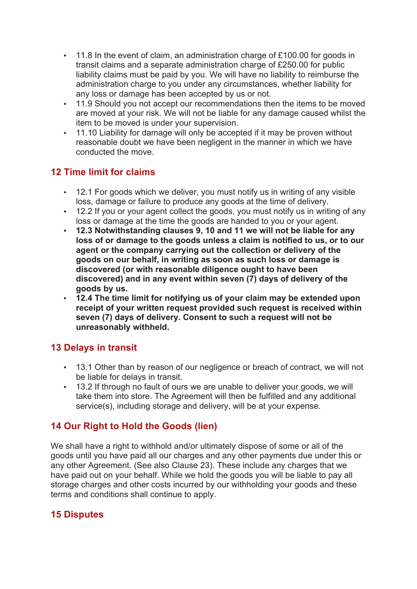- 11.8 In the event of claim, an administration charge of £100.00 for goods in transit claims and a separate administration charge of £250.00 for public liability claims must be paid by you. We will have no liability to reimburse the administration charge to you under any circumstances, whether liability for any loss or damage has been accepted by us or not.
- 11.9 Should you not accept our recommendations then the items to be moved are moved at your risk. We will not be liable for any damage caused whilst the item to be moved is under your supervision.
- 11.10 Liability for damage will only be accepted if it may be proven without reasonable doubt we have been negligent in the manner in which we have conducted the move.

# **12 Time limit for claims**

- 12.1 For goods which we deliver, you must notify us in writing of any visible loss, damage or failure to produce any goods at the time of delivery.
- 12.2 If you or your agent collect the goods, you must notify us in writing of any loss or damage at the time the goods are handed to you or your agent.
- **12.3 Notwithstanding clauses 9, 10 and 11 we will not be liable for any loss of or damage to the goods unless a claim is notified to us, or to our agent or the company carrying out the collection or delivery of the goods on our behalf, in writing as soon as such loss or damage is discovered (or with reasonable diligence ought to have been discovered) and in any event within seven (7) days of delivery of the goods by us.**
- **12.4 The time limit for notifying us of your claim may be extended upon receipt of your written request provided such request is received within seven (7) days of delivery. Consent to such a request will not be unreasonably withheld.**

#### **13 Delays in transit**

- 13.1 Other than by reason of our negligence or breach of contract, we will not be liable for delays in transit.
- 13.2 If through no fault of ours we are unable to deliver your goods, we will take them into store. The Agreement will then be fulfilled and any additional service(s), including storage and delivery, will be at your expense.

# **14 Our Right to Hold the Goods (lien)**

We shall have a right to withhold and/or ultimately dispose of some or all of the goods until you have paid all our charges and any other payments due under this or any other Agreement. (See also Clause 23). These include any charges that we have paid out on your behalf. While we hold the goods you will be liable to pay all storage charges and other costs incurred by our withholding your goods and these terms and conditions shall continue to apply.

#### **15 Disputes**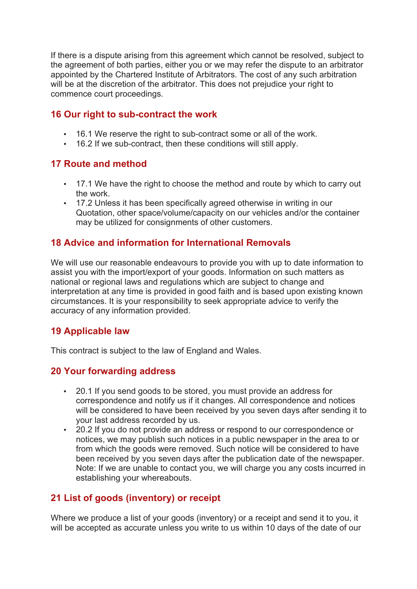If there is a dispute arising from this agreement which cannot be resolved, subject to the agreement of both parties, either you or we may refer the dispute to an arbitrator appointed by the Chartered Institute of Arbitrators. The cost of any such arbitration will be at the discretion of the arbitrator. This does not prejudice your right to commence court proceedings.

#### **16 Our right to sub-contract the work**

- 16.1 We reserve the right to sub-contract some or all of the work.
- 16.2 If we sub-contract, then these conditions will still apply.

#### **17 Route and method**

- 17.1 We have the right to choose the method and route by which to carry out the work.
- 17.2 Unless it has been specifically agreed otherwise in writing in our Quotation, other space/volume/capacity on our vehicles and/or the container may be utilized for consignments of other customers.

#### **18 Advice and information for International Removals**

We will use our reasonable endeavours to provide you with up to date information to assist you with the import/export of your goods. Information on such matters as national or regional laws and regulations which are subject to change and interpretation at any time is provided in good faith and is based upon existing known circumstances. It is your responsibility to seek appropriate advice to verify the accuracy of any information provided.

#### **19 Applicable law**

This contract is subject to the law of England and Wales.

#### **20 Your forwarding address**

- 20.1 If you send goods to be stored, you must provide an address for correspondence and notify us if it changes. All correspondence and notices will be considered to have been received by you seven days after sending it to your last address recorded by us.
- 20.2 If you do not provide an address or respond to our correspondence or notices, we may publish such notices in a public newspaper in the area to or from which the goods were removed. Such notice will be considered to have been received by you seven days after the publication date of the newspaper. Note: If we are unable to contact you, we will charge you any costs incurred in establishing your whereabouts.

# **21 List of goods (inventory) or receipt**

Where we produce a list of your goods (inventory) or a receipt and send it to you, it will be accepted as accurate unless you write to us within 10 days of the date of our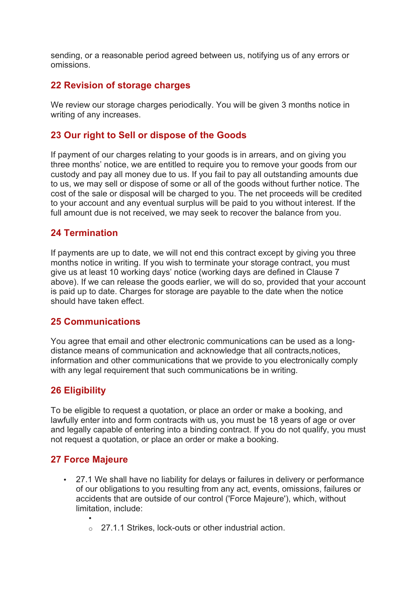sending, or a reasonable period agreed between us, notifying us of any errors or omissions.

#### **22 Revision of storage charges**

We review our storage charges periodically. You will be given 3 months notice in writing of any increases.

#### **23 Our right to Sell or dispose of the Goods**

If payment of our charges relating to your goods is in arrears, and on giving you three months' notice, we are entitled to require you to remove your goods from our custody and pay all money due to us. If you fail to pay all outstanding amounts due to us, we may sell or dispose of some or all of the goods without further notice. The cost of the sale or disposal will be charged to you. The net proceeds will be credited to your account and any eventual surplus will be paid to you without interest. If the full amount due is not received, we may seek to recover the balance from you.

#### **24 Termination**

If payments are up to date, we will not end this contract except by giving you three months notice in writing. If you wish to terminate your storage contract, you must give us at least 10 working days' notice (working days are defined in Clause 7 above). If we can release the goods earlier, we will do so, provided that your account is paid up to date. Charges for storage are payable to the date when the notice should have taken effect.

#### **25 Communications**

You agree that email and other electronic communications can be used as a longdistance means of communication and acknowledge that all contracts,notices, information and other communications that we provide to you electronically comply with any legal requirement that such communications be in writing.

#### **26 Eligibility**

To be eligible to request a quotation, or place an order or make a booking, and lawfully enter into and form contracts with us, you must be 18 years of age or over and legally capable of entering into a binding contract. If you do not qualify, you must not request a quotation, or place an order or make a booking.

#### **27 Force Majeure**

- 27.1 We shall have no liability for delays or failures in delivery or performance of our obligations to you resulting from any act, events, omissions, failures or accidents that are outside of our control ('Force Majeure'), which, without limitation, include:
	- •
	- o 27.1.1 Strikes, lock-outs or other industrial action.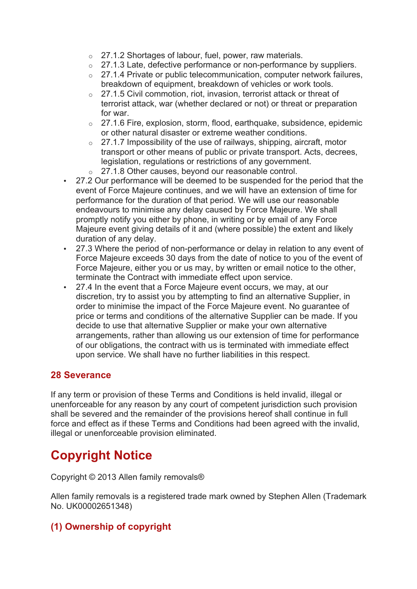- o 27.1.2 Shortages of labour, fuel, power, raw materials.
- o 27.1.3 Late, defective performance or non-performance by suppliers.
- o 27.1.4 Private or public telecommunication, computer network failures, breakdown of equipment, breakdown of vehicles or work tools.
- o 27.1.5 Civil commotion, riot, invasion, terrorist attack or threat of terrorist attack, war (whether declared or not) or threat or preparation for war.
- o 27.1.6 Fire, explosion, storm, flood, earthquake, subsidence, epidemic or other natural disaster or extreme weather conditions.
- $\degree$  27.1.7 Impossibility of the use of railways, shipping, aircraft, motor transport or other means of public or private transport. Acts, decrees, legislation, regulations or restrictions of any government.
- o 27.1.8 Other causes, beyond our reasonable control.
- 27.2 Our performance will be deemed to be suspended for the period that the event of Force Majeure continues, and we will have an extension of time for performance for the duration of that period. We will use our reasonable endeavours to minimise any delay caused by Force Majeure. We shall promptly notify you either by phone, in writing or by email of any Force Majeure event giving details of it and (where possible) the extent and likely duration of any delay.
- 27.3 Where the period of non-performance or delay in relation to any event of Force Majeure exceeds 30 days from the date of notice to you of the event of Force Majeure, either you or us may, by written or email notice to the other, terminate the Contract with immediate effect upon service.
- 27.4 In the event that a Force Majeure event occurs, we may, at our discretion, try to assist you by attempting to find an alternative Supplier, in order to minimise the impact of the Force Majeure event. No guarantee of price or terms and conditions of the alternative Supplier can be made. If you decide to use that alternative Supplier or make your own alternative arrangements, rather than allowing us our extension of time for performance of our obligations, the contract with us is terminated with immediate effect upon service. We shall have no further liabilities in this respect.

#### **28 Severance**

If any term or provision of these Terms and Conditions is held invalid, illegal or unenforceable for any reason by any court of competent jurisdiction such provision shall be severed and the remainder of the provisions hereof shall continue in full force and effect as if these Terms and Conditions had been agreed with the invalid, illegal or unenforceable provision eliminated.

# **Copyright Notice**

Copyright © 2013 Allen family removals®

Allen family removals is a registered trade mark owned by Stephen Allen (Trademark No. UK00002651348)

# **(1) Ownership of copyright**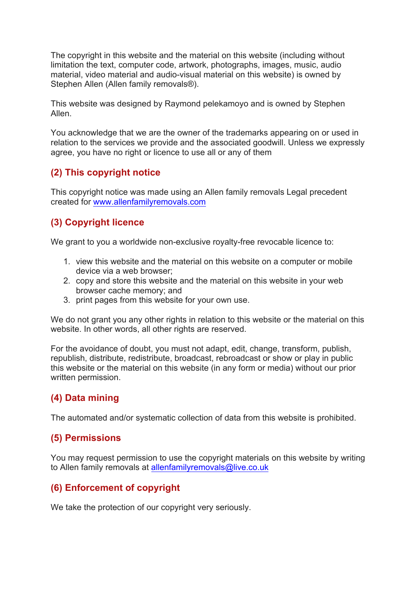The copyright in this website and the material on this website (including without limitation the text, computer code, artwork, photographs, images, music, audio material, video material and audio-visual material on this website) is owned by Stephen Allen (Allen family removals®).

This website was designed by Raymond pelekamoyo and is owned by Stephen Allen.

You acknowledge that we are the owner of the trademarks appearing on or used in relation to the services we provide and the associated goodwill. Unless we expressly agree, you have no right or licence to use all or any of them

## **(2) This copyright notice**

This copyright notice was made using an Allen family removals Legal precedent created for www.allenfamilyremovals.com

# **(3) Copyright licence**

We grant to you a worldwide non-exclusive royalty-free revocable licence to:

- 1. view this website and the material on this website on a computer or mobile device via a web browser;
- 2. copy and store this website and the material on this website in your web browser cache memory; and
- 3. print pages from this website for your own use.

We do not grant you any other rights in relation to this website or the material on this website. In other words, all other rights are reserved.

For the avoidance of doubt, you must not adapt, edit, change, transform, publish, republish, distribute, redistribute, broadcast, rebroadcast or show or play in public this website or the material on this website (in any form or media) without our prior written permission.

# **(4) Data mining**

The automated and/or systematic collection of data from this website is prohibited.

#### **(5) Permissions**

You may request permission to use the copyright materials on this website by writing to Allen family removals at allenfamilyremovals@live.co.uk

# **(6) Enforcement of copyright**

We take the protection of our copyright very seriously.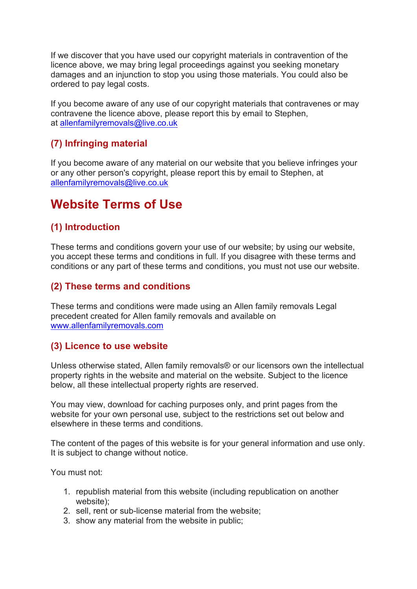If we discover that you have used our copyright materials in contravention of the licence above, we may bring legal proceedings against you seeking monetary damages and an injunction to stop you using those materials. You could also be ordered to pay legal costs.

If you become aware of any use of our copyright materials that contravenes or may contravene the licence above, please report this by email to Stephen, at allenfamilyremovals@live.co.uk

# **(7) Infringing material**

If you become aware of any material on our website that you believe infringes your or any other person's copyright, please report this by email to Stephen, at allenfamilyremovals@live.co.uk

# **Website Terms of Use**

## **(1) Introduction**

These terms and conditions govern your use of our website; by using our website, you accept these terms and conditions in full. If you disagree with these terms and conditions or any part of these terms and conditions, you must not use our website.

#### **(2) These terms and conditions**

These terms and conditions were made using an Allen family removals Legal precedent created for Allen family removals and available on www.allenfamilyremovals.com

#### **(3) Licence to use website**

Unless otherwise stated, Allen family removals® or our licensors own the intellectual property rights in the website and material on the website. Subject to the licence below, all these intellectual property rights are reserved.

You may view, download for caching purposes only, and print pages from the website for your own personal use, subject to the restrictions set out below and elsewhere in these terms and conditions.

The content of the pages of this website is for your general information and use only. It is subject to change without notice.

You must not:

- 1. republish material from this website (including republication on another website);
- 2. sell, rent or sub-license material from the website;
- 3. show any material from the website in public;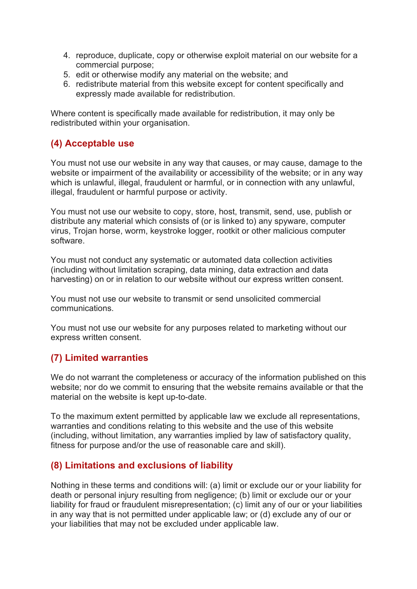- 4. reproduce, duplicate, copy or otherwise exploit material on our website for a commercial purpose;
- 5. edit or otherwise modify any material on the website; and
- 6. redistribute material from this website except for content specifically and expressly made available for redistribution.

Where content is specifically made available for redistribution, it may only be redistributed within your organisation.

# **(4) Acceptable use**

You must not use our website in any way that causes, or may cause, damage to the website or impairment of the availability or accessibility of the website; or in any way which is unlawful, illegal, fraudulent or harmful, or in connection with any unlawful, illegal, fraudulent or harmful purpose or activity.

You must not use our website to copy, store, host, transmit, send, use, publish or distribute any material which consists of (or is linked to) any spyware, computer virus, Trojan horse, worm, keystroke logger, rootkit or other malicious computer software.

You must not conduct any systematic or automated data collection activities (including without limitation scraping, data mining, data extraction and data harvesting) on or in relation to our website without our express written consent.

You must not use our website to transmit or send unsolicited commercial communications.

You must not use our website for any purposes related to marketing without our express written consent.

# **(7) Limited warranties**

We do not warrant the completeness or accuracy of the information published on this website; nor do we commit to ensuring that the website remains available or that the material on the website is kept up-to-date.

To the maximum extent permitted by applicable law we exclude all representations, warranties and conditions relating to this website and the use of this website (including, without limitation, any warranties implied by law of satisfactory quality, fitness for purpose and/or the use of reasonable care and skill).

#### **(8) Limitations and exclusions of liability**

Nothing in these terms and conditions will: (a) limit or exclude our or your liability for death or personal injury resulting from negligence; (b) limit or exclude our or your liability for fraud or fraudulent misrepresentation; (c) limit any of our or your liabilities in any way that is not permitted under applicable law; or (d) exclude any of our or your liabilities that may not be excluded under applicable law.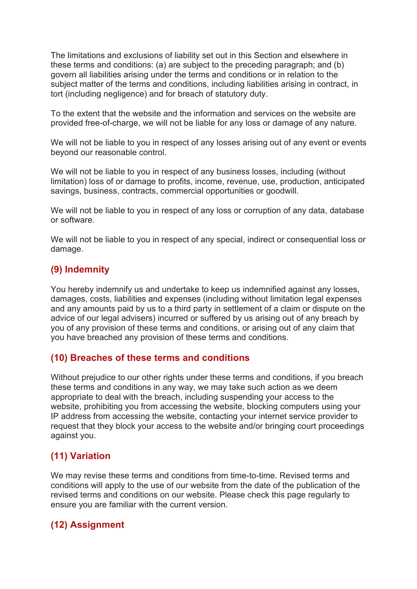The limitations and exclusions of liability set out in this Section and elsewhere in these terms and conditions: (a) are subject to the preceding paragraph; and (b) govern all liabilities arising under the terms and conditions or in relation to the subject matter of the terms and conditions, including liabilities arising in contract, in tort (including negligence) and for breach of statutory duty.

To the extent that the website and the information and services on the website are provided free-of-charge, we will not be liable for any loss or damage of any nature.

We will not be liable to you in respect of any losses arising out of any event or events beyond our reasonable control.

We will not be liable to you in respect of any business losses, including (without limitation) loss of or damage to profits, income, revenue, use, production, anticipated savings, business, contracts, commercial opportunities or goodwill.

We will not be liable to you in respect of any loss or corruption of any data, database or software.

We will not be liable to you in respect of any special, indirect or consequential loss or damage.

## **(9) Indemnity**

You hereby indemnify us and undertake to keep us indemnified against any losses, damages, costs, liabilities and expenses (including without limitation legal expenses and any amounts paid by us to a third party in settlement of a claim or dispute on the advice of our legal advisers) incurred or suffered by us arising out of any breach by you of any provision of these terms and conditions, or arising out of any claim that you have breached any provision of these terms and conditions.

#### **(10) Breaches of these terms and conditions**

Without prejudice to our other rights under these terms and conditions, if you breach these terms and conditions in any way, we may take such action as we deem appropriate to deal with the breach, including suspending your access to the website, prohibiting you from accessing the website, blocking computers using your IP address from accessing the website, contacting your internet service provider to request that they block your access to the website and/or bringing court proceedings against you.

# **(11) Variation**

We may revise these terms and conditions from time-to-time. Revised terms and conditions will apply to the use of our website from the date of the publication of the revised terms and conditions on our website. Please check this page regularly to ensure you are familiar with the current version.

# **(12) Assignment**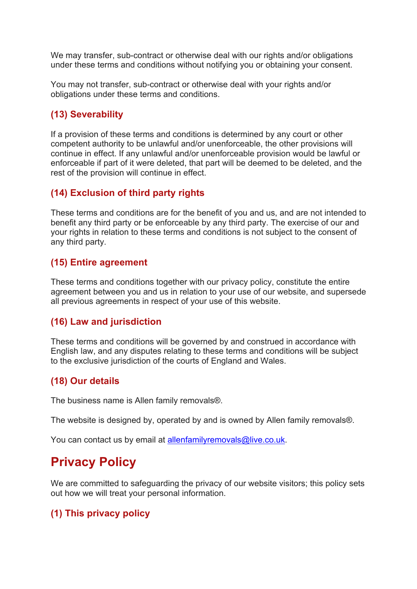We may transfer, sub-contract or otherwise deal with our rights and/or obligations under these terms and conditions without notifying you or obtaining your consent.

You may not transfer, sub-contract or otherwise deal with your rights and/or obligations under these terms and conditions.

# **(13) Severability**

If a provision of these terms and conditions is determined by any court or other competent authority to be unlawful and/or unenforceable, the other provisions will continue in effect. If any unlawful and/or unenforceable provision would be lawful or enforceable if part of it were deleted, that part will be deemed to be deleted, and the rest of the provision will continue in effect.

# **(14) Exclusion of third party rights**

These terms and conditions are for the benefit of you and us, and are not intended to benefit any third party or be enforceable by any third party. The exercise of our and your rights in relation to these terms and conditions is not subject to the consent of any third party.

## **(15) Entire agreement**

These terms and conditions together with our privacy policy, constitute the entire agreement between you and us in relation to your use of our website, and supersede all previous agreements in respect of your use of this website.

#### **(16) Law and jurisdiction**

These terms and conditions will be governed by and construed in accordance with English law, and any disputes relating to these terms and conditions will be subject to the exclusive jurisdiction of the courts of England and Wales.

# **(18) Our details**

The business name is Allen family removals®.

The website is designed by, operated by and is owned by Allen family removals®.

You can contact us by email at allenfamilyremovals@live.co.uk.

# **Privacy Policy**

We are committed to safeguarding the privacy of our website visitors; this policy sets out how we will treat your personal information.

# **(1) This privacy policy**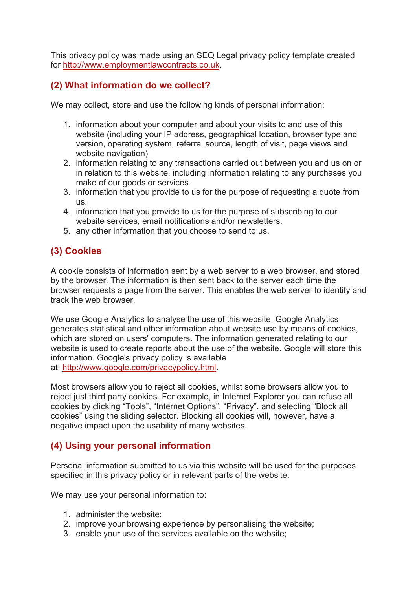This privacy policy was made using an SEQ Legal privacy policy template created for http://www.employmentlawcontracts.co.uk.

#### **(2) What information do we collect?**

We may collect, store and use the following kinds of personal information:

- 1. information about your computer and about your visits to and use of this website (including your IP address, geographical location, browser type and version, operating system, referral source, length of visit, page views and website navigation)
- 2. information relating to any transactions carried out between you and us on or in relation to this website, including information relating to any purchases you make of our goods or services.
- 3. information that you provide to us for the purpose of requesting a quote from us.
- 4. information that you provide to us for the purpose of subscribing to our website services, email notifications and/or newsletters.
- 5. any other information that you choose to send to us.

# **(3) Cookies**

A cookie consists of information sent by a web server to a web browser, and stored by the browser. The information is then sent back to the server each time the browser requests a page from the server. This enables the web server to identify and track the web browser.

We use Google Analytics to analyse the use of this website. Google Analytics generates statistical and other information about website use by means of cookies, which are stored on users' computers. The information generated relating to our website is used to create reports about the use of the website. Google will store this information. Google's privacy policy is available at: http://www.google.com/privacypolicy.html.

Most browsers allow you to reject all cookies, whilst some browsers allow you to reject just third party cookies. For example, in Internet Explorer you can refuse all cookies by clicking "Tools", "Internet Options", "Privacy", and selecting "Block all cookies" using the sliding selector. Blocking all cookies will, however, have a negative impact upon the usability of many websites.

# **(4) Using your personal information**

Personal information submitted to us via this website will be used for the purposes specified in this privacy policy or in relevant parts of the website.

We may use your personal information to:

- 1. administer the website;
- 2. improve your browsing experience by personalising the website;
- 3. enable your use of the services available on the website;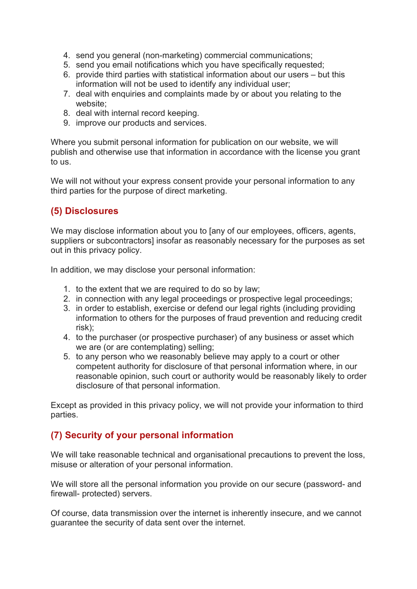- 4. send you general (non-marketing) commercial communications;
- 5. send you email notifications which you have specifically requested;
- 6. provide third parties with statistical information about our users but this information will not be used to identify any individual user;
- 7. deal with enquiries and complaints made by or about you relating to the website;
- 8. deal with internal record keeping.
- 9. improve our products and services.

Where you submit personal information for publication on our website, we will publish and otherwise use that information in accordance with the license you grant to us.

We will not without your express consent provide your personal information to any third parties for the purpose of direct marketing.

## **(5) Disclosures**

We may disclose information about you to [any of our employees, officers, agents, suppliers or subcontractors] insofar as reasonably necessary for the purposes as set out in this privacy policy.

In addition, we may disclose your personal information:

- 1. to the extent that we are required to do so by law;
- 2. in connection with any legal proceedings or prospective legal proceedings;
- 3. in order to establish, exercise or defend our legal rights (including providing information to others for the purposes of fraud prevention and reducing credit risk);
- 4. to the purchaser (or prospective purchaser) of any business or asset which we are (or are contemplating) selling;
- 5. to any person who we reasonably believe may apply to a court or other competent authority for disclosure of that personal information where, in our reasonable opinion, such court or authority would be reasonably likely to order disclosure of that personal information.

Except as provided in this privacy policy, we will not provide your information to third parties.

#### **(7) Security of your personal information**

We will take reasonable technical and organisational precautions to prevent the loss, misuse or alteration of your personal information.

We will store all the personal information you provide on our secure (password- and firewall- protected) servers.

Of course, data transmission over the internet is inherently insecure, and we cannot guarantee the security of data sent over the internet.